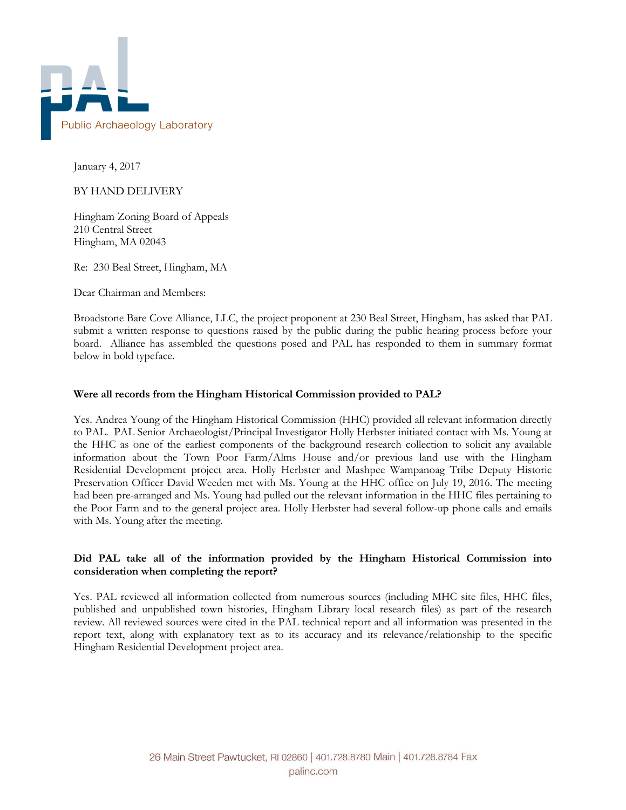

January 4, 2017

BY HAND DELIVERY

Hingham Zoning Board of Appeals 210 Central Street Hingham, MA 02043

Re: 230 Beal Street, Hingham, MA

Dear Chairman and Members:

Broadstone Bare Cove Alliance, LLC, the project proponent at 230 Beal Street, Hingham, has asked that PAL submit a written response to questions raised by the public during the public hearing process before your board. Alliance has assembled the questions posed and PAL has responded to them in summary format below in bold typeface.

# **Were all records from the Hingham Historical Commission provided to PAL?**

Yes. Andrea Young of the Hingham Historical Commission (HHC) provided all relevant information directly to PAL. PAL Senior Archaeologist/Principal Investigator Holly Herbster initiated contact with Ms. Young at the HHC as one of the earliest components of the background research collection to solicit any available information about the Town Poor Farm/Alms House and/or previous land use with the Hingham Residential Development project area. Holly Herbster and Mashpee Wampanoag Tribe Deputy Historic Preservation Officer David Weeden met with Ms. Young at the HHC office on July 19, 2016. The meeting had been pre-arranged and Ms. Young had pulled out the relevant information in the HHC files pertaining to the Poor Farm and to the general project area. Holly Herbster had several follow-up phone calls and emails with Ms. Young after the meeting.

## **Did PAL take all of the information provided by the Hingham Historical Commission into consideration when completing the report?**

Yes. PAL reviewed all information collected from numerous sources (including MHC site files, HHC files, published and unpublished town histories, Hingham Library local research files) as part of the research review. All reviewed sources were cited in the PAL technical report and all information was presented in the report text, along with explanatory text as to its accuracy and its relevance/relationship to the specific Hingham Residential Development project area.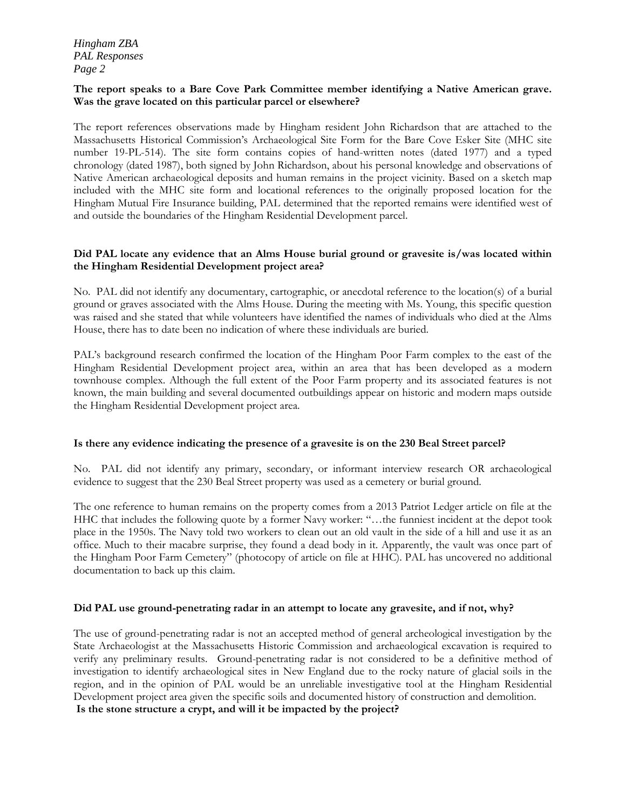*Hingham ZBA PAL Responses Page 2*

## **The report speaks to a Bare Cove Park Committee member identifying a Native American grave. Was the grave located on this particular parcel or elsewhere?**

The report references observations made by Hingham resident John Richardson that are attached to the Massachusetts Historical Commission's Archaeological Site Form for the Bare Cove Esker Site (MHC site number 19-PL-514). The site form contains copies of hand-written notes (dated 1977) and a typed chronology (dated 1987), both signed by John Richardson, about his personal knowledge and observations of Native American archaeological deposits and human remains in the project vicinity. Based on a sketch map included with the MHC site form and locational references to the originally proposed location for the Hingham Mutual Fire Insurance building, PAL determined that the reported remains were identified west of and outside the boundaries of the Hingham Residential Development parcel.

## **Did PAL locate any evidence that an Alms House burial ground or gravesite is/was located within the Hingham Residential Development project area?**

No. PAL did not identify any documentary, cartographic, or anecdotal reference to the location(s) of a burial ground or graves associated with the Alms House. During the meeting with Ms. Young, this specific question was raised and she stated that while volunteers have identified the names of individuals who died at the Alms House, there has to date been no indication of where these individuals are buried.

PAL's background research confirmed the location of the Hingham Poor Farm complex to the east of the Hingham Residential Development project area, within an area that has been developed as a modern townhouse complex. Although the full extent of the Poor Farm property and its associated features is not known, the main building and several documented outbuildings appear on historic and modern maps outside the Hingham Residential Development project area.

# **Is there any evidence indicating the presence of a gravesite is on the 230 Beal Street parcel?**

No. PAL did not identify any primary, secondary, or informant interview research OR archaeological evidence to suggest that the 230 Beal Street property was used as a cemetery or burial ground.

The one reference to human remains on the property comes from a 2013 Patriot Ledger article on file at the HHC that includes the following quote by a former Navy worker: "…the funniest incident at the depot took place in the 1950s. The Navy told two workers to clean out an old vault in the side of a hill and use it as an office. Much to their macabre surprise, they found a dead body in it. Apparently, the vault was once part of the Hingham Poor Farm Cemetery" (photocopy of article on file at HHC). PAL has uncovered no additional documentation to back up this claim.

# **Did PAL use ground-penetrating radar in an attempt to locate any gravesite, and if not, why?**

The use of ground-penetrating radar is not an accepted method of general archeological investigation by the State Archaeologist at the Massachusetts Historic Commission and archaeological excavation is required to verify any preliminary results. Ground-penetrating radar is not considered to be a definitive method of investigation to identify archaeological sites in New England due to the rocky nature of glacial soils in the region, and in the opinion of PAL would be an unreliable investigative tool at the Hingham Residential Development project area given the specific soils and documented history of construction and demolition. **Is the stone structure a crypt, and will it be impacted by the project?**